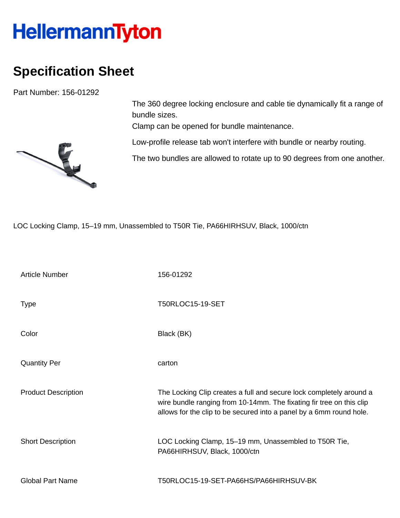## **HellermannTyton**

## **Specification Sheet**

Part Number: 156-01292

The 360 degree locking enclosure and cable tie dynamically fit a range of bundle sizes.

Clamp can be opened for bundle maintenance.

Low-profile release tab won't interfere with bundle or nearby routing.

The two bundles are allowed to rotate up to 90 degrees from one another.

LOC Locking Clamp, 15–19 mm, Unassembled to T50R Tie, PA66HIRHSUV, Black, 1000/ctn

| <b>Article Number</b>      | 156-01292                                                                                                                                                                                                          |
|----------------------------|--------------------------------------------------------------------------------------------------------------------------------------------------------------------------------------------------------------------|
| <b>Type</b>                | <b>T50RLOC15-19-SET</b>                                                                                                                                                                                            |
| Color                      | Black (BK)                                                                                                                                                                                                         |
| <b>Quantity Per</b>        | carton                                                                                                                                                                                                             |
| <b>Product Description</b> | The Locking Clip creates a full and secure lock completely around a<br>wire bundle ranging from 10-14mm. The fixating fir tree on this clip<br>allows for the clip to be secured into a panel by a 6mm round hole. |
| <b>Short Description</b>   | LOC Locking Clamp, 15-19 mm, Unassembled to T50R Tie,<br>PA66HIRHSUV, Black, 1000/ctn                                                                                                                              |
| <b>Global Part Name</b>    | T50RLOC15-19-SET-PA66HS/PA66HIRHSUV-BK                                                                                                                                                                             |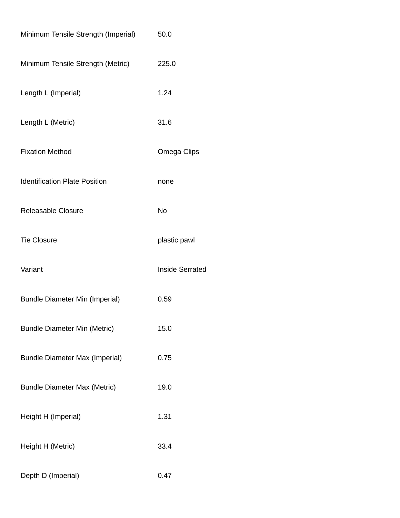| Minimum Tensile Strength (Imperial)   | 50.0                   |
|---------------------------------------|------------------------|
| Minimum Tensile Strength (Metric)     | 225.0                  |
| Length L (Imperial)                   | 1.24                   |
| Length L (Metric)                     | 31.6                   |
| <b>Fixation Method</b>                | Omega Clips            |
| <b>Identification Plate Position</b>  | none                   |
| Releasable Closure                    | No                     |
| <b>Tie Closure</b>                    | plastic pawl           |
| Variant                               | <b>Inside Serrated</b> |
| <b>Bundle Diameter Min (Imperial)</b> | 0.59                   |
| <b>Bundle Diameter Min (Metric)</b>   | 15.0                   |
| <b>Bundle Diameter Max (Imperial)</b> | 0.75                   |
| <b>Bundle Diameter Max (Metric)</b>   | 19.0                   |
| Height H (Imperial)                   | 1.31                   |
| Height H (Metric)                     | 33.4                   |
| Depth D (Imperial)                    | 0.47                   |